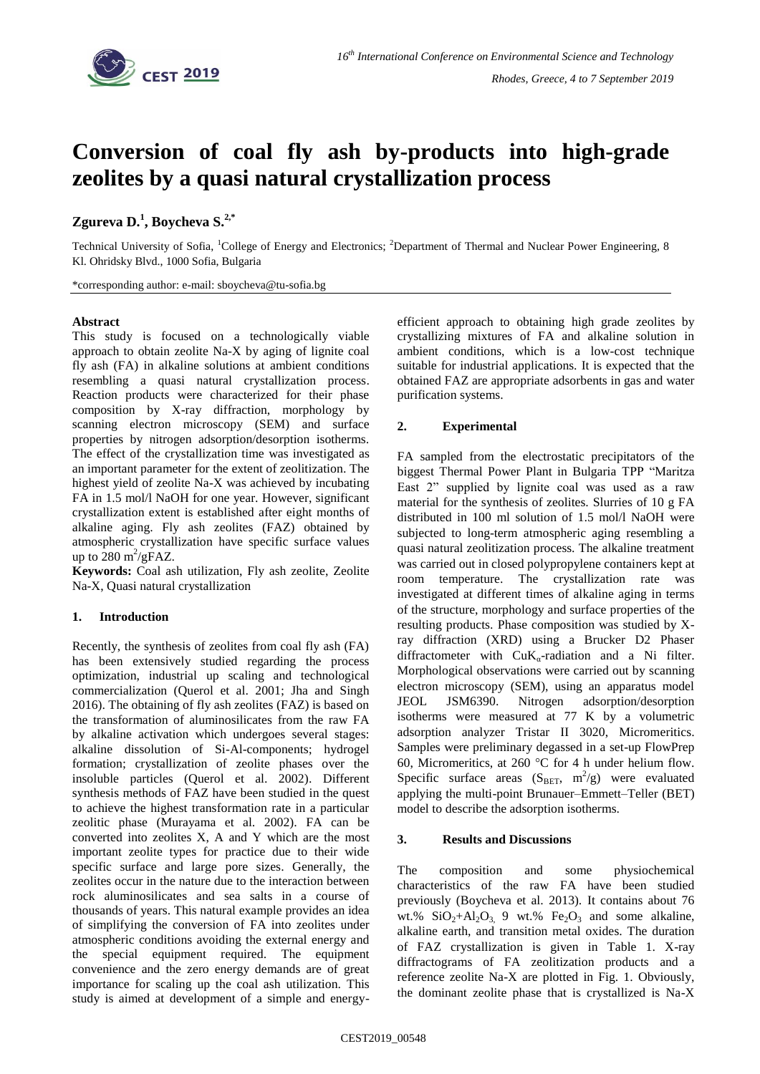

# **Conversion of coal fly ash by-products into high-grade zeolites by a quasi natural crystallization process**

## **Zgureva D. 1 , Boycheva S. 2,\***

Technical University of Sofia, <sup>1</sup>College of Energy and Electronics; <sup>2</sup>Department of Thermal and Nuclear Power Engineering, 8 Kl. Ohridsky Blvd., 1000 Sofia, Bulgaria

\*corresponding author: e-mail: sboycheva@tu-sofia.bg

### **Abstract**

This study is focused on a technologically viable approach to obtain zeolite Na-X by aging of lignite coal fly ash (FA) in alkaline solutions at ambient conditions resembling a quasi natural crystallization process. Reaction products were characterized for their phase composition by X-ray diffraction, morphology by scanning electron microscopy (SEM) and surface properties by nitrogen adsorption/desorption isotherms. The effect of the crystallization time was investigated as an important parameter for the extent of zeolitization. The highest yield of zeolite Na-X was achieved by incubating FA in 1.5 mol/l NaOH for one year. However, significant crystallization extent is established after eight months of alkaline aging. Fly ash zeolites (FAZ) obtained by atmospheric crystallization have specific surface values up to  $\overline{280}$  m<sup>2</sup>/gFAZ.

**Keywords:** Coal ash utilization, Fly ash zeolite, Zeolite Na-X, Quasi natural crystallization

### **1. Introduction**

Recently, the synthesis of zeolites from coal fly ash (FA) has been extensively studied regarding the process optimization, industrial up scaling and technological commercialization (Querol et al. 2001; Jha and Singh 2016). The obtaining of fly ash zeolites (FAZ) is based on the transformation of aluminosilicates from the raw FA by alkaline activation which undergoes several stages: alkaline dissolution of Si-Al-components; hydrogel formation; crystallization of zeolite phases over the insoluble particles (Querol et al. 2002). Different synthesis methods of FAZ have been studied in the quest to achieve the highest transformation rate in a particular zeolitic phase (Murayama et al. 2002). FA can be converted into zeolites X, A and Y which are the most important zeolite types for practice due to their wide specific surface and large pore sizes. Generally, the zeolites occur in the nature due to the interaction between rock aluminosilicates and sea salts in a course of thousands of years. This natural example provides an idea of simplifying the conversion of FA into zeolites under atmospheric conditions avoiding the external energy and the special equipment required. The equipment convenience and the zero energy demands are of great importance for scaling up the coal ash utilization. This study is aimed at development of a simple and energyefficient approach to obtaining high grade zeolites by crystallizing mixtures of FA and alkaline solution in ambient conditions, which is a low-cost technique suitable for industrial applications. It is expected that the obtained FAZ are appropriate adsorbents in gas and water purification systems.

### **2. Experimental**

FA sampled from the electrostatic precipitators of the biggest Thermal Power Plant in Bulgaria TPP "Maritza East 2" supplied by lignite coal was used as a raw material for the synthesis of zeolites. Slurries of 10 g FA distributed in 100 ml solution of 1.5 mol/l NaOH were subjected to long-term atmospheric aging resembling a quasi natural zeolitization process. The alkaline treatment was carried out in closed polypropylene containers kept at room temperature. The crystallization rate was investigated at different times of alkaline aging in terms of the structure, morphology and surface properties of the resulting products. Phase composition was studied by Xray diffraction (XRD) using a Brucker D2 Phaser diffractometer with  $CuK_{\alpha}$ -radiation and a Ni filter. Morphological observations were carried out by scanning electron microscopy (SEM), using an apparatus model JEOL JSM6390. Nitrogen adsorption/desorption isotherms were measured at 77 K by a volumetric adsorption analyzer Tristar II 3020, Micromeritics. Samples were preliminary degassed in a set-up FlowPrep 60, Micromeritics, at 260  $^{\circ}$ C for 4 h under helium flow. Specific surface areas  $(S<sub>BET</sub>, m<sup>2</sup>/g)$  were evaluated applying the multi-point Brunauer–Emmett–Teller (BET) model to describe the adsorption isotherms.

### **3. Results and Discussions**

The composition and some physiochemical characteristics of the raw FA have been studied previously (Boycheva et al. 2013). It contains about 76 wt.%  $SiO_2 + Al_2O_3$  9 wt.% Fe<sub>2</sub>O<sub>3</sub> and some alkaline, alkaline earth, and transition metal oxides. The duration of FAZ crystallization is given in Table 1. X-ray diffractograms of FA zeolitization products and a reference zeolite Na-X are plotted in Fig. 1. Obviously, the dominant zeolite phase that is crystallized is Na-X